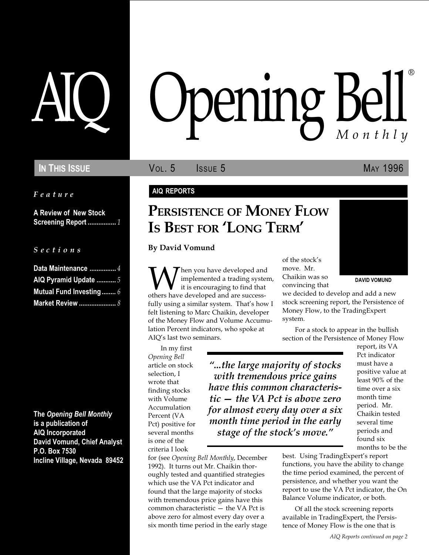Feature

A Review of New Stock Screening Report ................. 1

S e c t i o n s

| Data Maintenance  4            |
|--------------------------------|
| AIQ Pyramid Update  5          |
| <b>Mutual Fund Investing 6</b> |
| Market Review  8               |

The Opening Bell Monthly is a publication of AIQ Incorporated David Vomund, Chief Analyst P.O. Box 7530 Incline Village, Nevada 89452

# AIQ Opening Bell ®

IN THIS ISSUE **VOL. 5** ISSUE 5 MAY 1996

#### AIQ REPORTS

## PERSISTENCE OF MONEY FLOW IS BEST FOR 'LONG TERM'

By David Vomund

W implemented a trading system<br>it is encouraging to find that<br>others have developed and are successimplemented a trading system, it is encouraging to find that fully using a similar system. That's how I felt listening to Marc Chaikin, developer of the Money Flow and Volume Accumulation Percent indicators, who spoke at AIQ's last two seminars.

In my first Opening Bell article on stock selection, I wrote that finding stocks with Volume Accumulation Percent (VA Pct) positive for several months is one of the criteria I look

for (see Opening Bell Monthly, December 1992). It turns out Mr. Chaikin thoroughly tested and quantified strategies which use the VA Pct indicator and found that the large majority of stocks with tremendous price gains have this common characteristic  $-$  the VA Pct is above zero for almost every day over a six month time period in the early stage

of the stock's move. Mr. Chaikin was so convincing that



DAVID VOMUND

we decided to develop and add a new stock screening report, the Persistence of Money Flow, to the TradingExpert system.

For a stock to appear in the bullish section of the Persistence of Money Flow

...the large majority of stocks with tremendous price gains have this common characteristic  $-$  the VA Pct is above zero for almost every day over a six month time period in the early stage of the stock's move."

report, its VA Pct indicator must have a positive value at least 90% of the time over a six month time period. Mr. Chaikin tested several time periods and found six months to be the

best. Using TradingExpert's report functions, you have the ability to change the time period examined, the percent of persistence, and whether you want the report to use the VA Pct indicator, the On Balance Volume indicator, or both.

Of all the stock screening reports available in TradingExpert, the Persistence of Money Flow is the one that is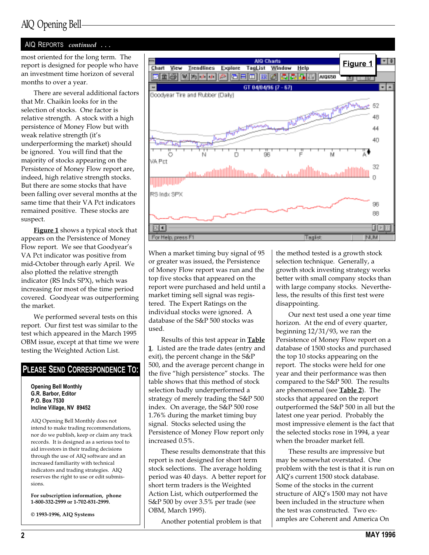## AIQ Opening Bell

#### AIQ REPORTS continued ...

most oriented for the long term. The report is designed for people who have an investment time horizon of several months to over a year.

There are several additional factors that Mr. Chaikin looks for in the selection of stocks. One factor is relative strength. A stock with a high persistence of Money Flow but with weak relative strength (it's underperforming the market) should be ignored. You will find that the majority of stocks appearing on the Persistence of Money Flow report are, indeed, high relative strength stocks. But there are some stocks that have been falling over several months at the same time that their VA Pct indicators remained positive. These stocks are suspect.

Figure 1 shows a typical stock that appears on the Persistence of Money Flow report. We see that Goodyear's VA Pct indicator was positive from mid-October through early April. We also plotted the relative strength indicator (RS Indx SPX), which was increasing for most of the time period covered. Goodyear was outperforming the market.

We performed several tests on this report. Our first test was similar to the test which appeared in the March 1995 OBM issue, except at that time we were testing the Weighted Action List.

#### PLEASE SEND CORRESPONDENCE TO:

Opening Bell Monthly G.R. Barbor, Editor P.O. Box 7530 Incline Village, NV 89452

AIQ Opening Bell Monthly does not intend to make trading recommendations, nor do we publish, keep or claim any track records. It is designed as a serious tool to aid investors in their trading decisions through the use of AIQ software and an increased familiarity with technical indicators and trading strategies. AIQ reserves the right to use or edit submissions.

For subscription information, phone 1-800-332-2999 or 1-702-831-2999.

© 1993-1996, AIQ Systems



When a market timing buy signal of 95 or greater was issued, the Persistence of Money Flow report was run and the top five stocks that appeared on the report were purchased and held until a market timing sell signal was registered. The Expert Ratings on the individual stocks were ignored. A database of the S&P 500 stocks was used.

Results of this test appear in **Table** 1. Listed are the trade dates (entry and exit), the percent change in the S&P 500, and the average percent change in the five "high persistence" stocks. The table shows that this method of stock selection badly underperformed a strategy of merely trading the S&P 500 index. On average, the S&P 500 rose 1.76% during the market timing buy signal. Stocks selected using the Persistence of Money Flow report only increased 0.5%.

These results demonstrate that this report is not designed for short term stock selections. The average holding period was 40 days. A better report for short term traders is the Weighted Action List, which outperformed the S&P 500 by over 3.5% per trade (see OBM, March 1995).

Another potential problem is that

the method tested is a growth stock selection technique. Generally, a growth stock investing strategy works better with small company stocks than with large company stocks. Nevertheless, the results of this first test were disappointing.

Our next test used a one year time horizon. At the end of every quarter, beginning 12/31/93, we ran the Persistence of Money Flow report on a database of 1500 stocks and purchased the top 10 stocks appearing on the report. The stocks were held for one year and their performance was then compared to the S&P 500. The results are phenomenal (see **Table 2**). The stocks that appeared on the report outperformed the S&P 500 in all but the latest one year period. Probably the most impressive element is the fact that the selected stocks rose in 1994, a year when the broader market fell.

These results are impressive but may be somewhat overstated. One problem with the test is that it is run on AIQ's current 1500 stock database. Some of the stocks in the current structure of AIQ's 1500 may not have been included in the structure when the test was constructed. Two examples are Coherent and America On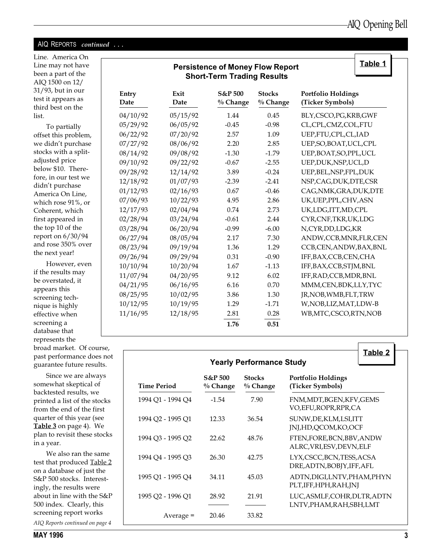#### AIQ REPORTS continued ...

Line. America On Line may not have been a part of the AIQ 1500 on 12/ 31/93, but in our test it appears as third best on the list.

To partially offset this problem, we didn't purchase stocks with a splitadjusted price below \$10. Therefore, in our test we didn't purchase America On Line, which rose 91%, or Coherent, which first appeared in the top 10 of the report on 6/30/94 and rose 350% ove the next year!

However, even if the results may be overstated, it appears this screening technique is highly effective when screening a database that represents the broad market. Of course, past performance does not guarantee future results.

Since we are always somewhat skeptical of backtested results, we printed a list of the stocks from the end of the first quarter of this year (see Table 3 on page 4). We plan to revisit these stocks in a year.

We also ran the same test that produced Table 2 on a database of just the S&P 500 stocks. Interestingly, the results were about in line with the S&P 500 index. Clearly, this screening report works

AIQ Reports continued on page 4

## Persistence of Money Flow Report Short-Term Trading Results

Table 1

|    | Entry<br>Date | Exit<br>Date | S&P 500<br>% Change | <b>Stocks</b><br>% Change | <b>Portfolio Holdings</b><br>(Ticker Symbols) |
|----|---------------|--------------|---------------------|---------------------------|-----------------------------------------------|
|    | 04/10/92      | 05/15/92     | 1.44                | 0.45                      | BLY,CSCO,PG,KRB,GWF                           |
|    | 05/29/92      | 06/05/92     | $-0.45$             | $-0.98$                   | CL,CPL,CMZ,COL,FTU                            |
| ι, | 06/22/92      | 07/20/92     | 2.57                | 1.09                      | UEP,FTU,CPL,CL,IAD                            |
| e  | 07/27/92      | 08/06/92     | 2.20                | 2.85                      | UEP, SO, BOAT, UCL, CPL                       |
|    | 08/14/92      | 09/08/92     | $-1.30$             | $-1.79$                   | UEP, BOAT, SO, PPL, UCL                       |
|    | 09/10/92      | 09/22/92     | $-0.67$             | $-2.55$                   | UEP, DUK, NSP, UCL, D                         |
|    | 09/28/92      | 12/14/92     | 3.89                | $-0.24$                   | UEP, BEL, NSP, FPL, DUK                       |
|    | 12/18/92      | 01/07/93     | $-2.39$             | $-2.41$                   | NSP, CAG, DUK, DTE, CSR                       |
|    | 01/12/93      | 02/16/93     | 0.67                | $-0.46$                   | CAG, NMK, GRA, DUK, DTE                       |
|    | 07/06/93      | 10/22/93     | 4.95                | 2.86                      | UK, UEP, PPL, CHV, ASN                        |
|    | 12/17/93      | 02/04/94     | 0.74                | 2.73                      | UK,LDG,ITT,MD,CPL                             |
|    | 02/28/94      | 03/24/94     | $-0.61$             | 2.44                      | CYR, CNF, TKR, UK, LDG                        |
|    | 03/28/94      | 06/20/94     | $-0.99$             | $-6.00$                   | N,CYR,DD,LDG,KR                               |
|    | 06/27/94      | 08/05/94     | 2.17                | 7.30                      | ANDW,CCB,MNR,FLR,CEN                          |
| 'n | 08/23/94      | 09/19/94     | 1.36                | 1.29                      | CCB,CEN,ANDW,BAX,BNL                          |
|    | 09/26/94      | 09/29/94     | 0.31                | $-0.90$                   | IFF, BAX, CCB, CEN, CHA                       |
| n  | 10/10/94      | 10/20/94     | 1.67                | $-1.13$                   | IFF,BAX,CCB,STJM,BNL                          |
|    | 11/07/94      | 04/20/95     | 9.12                | 6.02                      | IFF, RAD, CCB, MDR, BNL                       |
|    | 04/21/95      | 06/16/95     | 6.16                | 0.70                      | MMM, CEN, BDK, LLY, TYC                       |
|    | 08/25/95      | 10/02/95     | 3.86                | 1.30                      | JR, NOB, WMB, FLT, TRW                        |
|    | 10/12/95      | 10/19/95     | 1.29                | $-1.71$                   | W, NOB, LIZ, MAT, LDW-B                       |
|    | 11/16/95      | 12/18/95     | 2.81                | 0.28                      | WB,MTC,CSCO,RTN,NOB                           |
|    |               |              | 1.76                | 0.51                      |                                               |

| <b>Table 2</b><br><b>Yearly Performance Study</b> |                                  |                           |                                                          |  |  |
|---------------------------------------------------|----------------------------------|---------------------------|----------------------------------------------------------|--|--|
| <b>Time Period</b>                                | <b>S&amp;P 500</b><br>$%$ Change | <b>Stocks</b><br>% Change | <b>Portfolio Holdings</b><br>(Ticker Symbols)            |  |  |
| 1994 O1 - 1994 O4                                 | $-1.54$                          | 7.90                      | FNM,MDT,BGEN,KFV,GEMS<br>VO,EFU,ROPR,RPR,CA              |  |  |
| 1994 Q2 - 1995 Q1                                 | 12.33                            | 36.54                     | SUNW, DE, KLM, LSI, ITT<br>JNJ,HD,QCOM,KO,OCF            |  |  |
| 1994 Q3 - 1995 Q2                                 | 22.62                            | 48.76                     | FTEN, FORE, BCN, BBV, ANDW<br>ALRC, VRI, ESV, DEVN, ELF  |  |  |
| 1994 Q4 - 1995 Q3                                 | 26.30                            | 42.75                     | LYX, CSCC, BCN, TESS, ACSA<br>DRE, ADTN, BOBIY, IFF, AFL |  |  |
| 1995 Q1 - 1995 Q4                                 | 34.11                            | 45.03                     | ADTN, DIGI, LNTV, PHAM, PHYN<br>PLT, IFF, HPH, RAH, INI  |  |  |
| 1995 O2 - 1996 O1                                 | 28.92                            | 21.91                     | LUC, ASMLF, COHR, DLTR, ADTN<br>LNTV,PHAM,RAH,SBH,LMT    |  |  |
| Average =                                         | 20.46                            | 33.82                     |                                                          |  |  |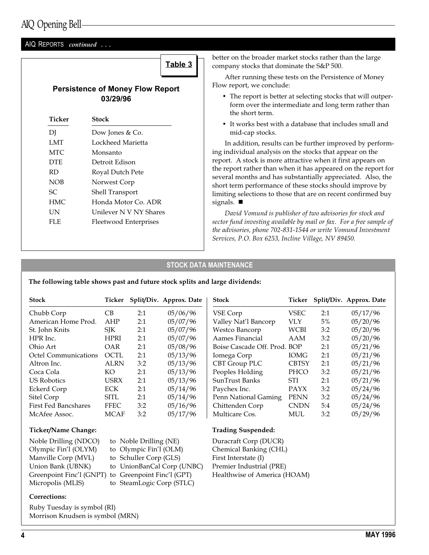#### AIQ REPORTS continued ...

Table 3

#### Persistence of Money Flow Report 03/29/96

| Ticker     | Stock                  |
|------------|------------------------|
| DJ         | Dow Jones & Co.        |
| LMT        | Lockheed Marietta      |
| MTC.       | Monsanto               |
| <b>DTE</b> | Detroit Edison         |
| <b>RD</b>  | Royal Dutch Pete       |
| <b>NOB</b> | Norwest Corp           |
| SС         | <b>Shell Transport</b> |
| <b>HMC</b> | Honda Motor Co. ADR    |
| UN         | Unilever N V NY Shares |
| FLE        | Fleetwood Enterprises  |
|            |                        |

better on the broader market stocks rather than the large company stocks that dominate the S&P 500.

After running these tests on the Persistence of Money Flow report, we conclude:

- The report is better at selecting stocks that will outperform over the intermediate and long term rather than the short term.
- It works best with a database that includes small and mid-cap stocks.

In addition, results can be further improved by performing individual analysis on the stocks that appear on the report. A stock is more attractive when it first appears on the report rather than when it has appeared on the report for several months and has substantially appreciated. Also, the short term performance of these stocks should improve by limiting selections to those that are on recent confirmed buy signals.  $\blacksquare$ 

David Vomund is publisher of two advisories for stock and sector fund investing available by mail or fax. For a free sample of the advisories, phone 702-831-1544 or write Vomund Investment Services, P.O. Box 6253, Incline Village, NV 89450.

#### STOCK DATA MAINTENANCE

The following table shows past and future stock splits and large dividends:

| <b>Stock</b>                | Ticker      |     | Split/Div. Approx. Date | <b>Stock</b>                 | Ticker       |       | Split/Div. Approx. Date |
|-----------------------------|-------------|-----|-------------------------|------------------------------|--------------|-------|-------------------------|
| Chubb Corp                  | CB          | 2:1 | 05/06/96                | VSE Corp                     | VSEC         | 2:1   | 05/17/96                |
| American Home Prod.         | AHP         | 2:1 | 05/07/96                | Valley Nat'l Bancorp         | <b>VLY</b>   | $5\%$ | 05/20/96                |
| St. John Knits              | <b>SIK</b>  | 2:1 | 05/07/96                | Westco Bancorp               | <b>WCBI</b>  | 3:2   | 05/20/96                |
| HPR Inc.                    | <b>HPRI</b> | 2:1 | 05/07/96                | Aames Financial              | AAM          | 3:2   | 05/20/96                |
| Ohio Art                    | <b>OAR</b>  | 2:1 | 05/08/96                | Boise Cascade Off. Prod. BOP |              | 2:1   | 05/21/96                |
| Octel Communications        | OCTL        | 2:1 | 05/13/96                | Iomega Corp                  | <b>IOMG</b>  | 2:1   | 05/21/96                |
| Altron Inc.                 | <b>ALRN</b> | 3:2 | 05/13/96                | CBT Group PLC                | <b>CBTSY</b> | 2:1   | 05/21/96                |
| Coca Cola                   | KO.         | 2:1 | 05/13/96                | Peoples Holding              | PHCO         | 3:2   | 05/21/96                |
| <b>US Robotics</b>          | <b>USRX</b> | 2:1 | 05/13/96                | SunTrust Banks               | STI          | 2:1   | 05/21/96                |
| Eckerd Corp                 | ECK         | 2:1 | 05/14/96                | Paychex Inc.                 | <b>PAYX</b>  | 3:2   | 05/24/96                |
| Sitel Corp                  | <b>SITL</b> | 2:1 | 05/14/96                | Penn National Gaming         | <b>PENN</b>  | 3:2   | 05/24/96                |
| <b>First Fed Bancshares</b> | <b>FFEC</b> | 3:2 | 05/16/96                | Chittenden Corp              | <b>CNDN</b>  | 5:4   | 05/24/96                |
| McAfee Assoc.               | <b>MCAF</b> | 3:2 | 05/17/96                | Multicare Cos.               | MUL          | 3:2   | 05/29/96                |

#### Ticker/Name Change:

Noble Drilling (NDCO) to Noble Drilling (NE) Olympic Fin'l (OLYM) to Olympic Fin'l (OLM) Manville Corp (MVL) to Schuller Corp (GLS) Greenpoint Finc'l (GNPT) to Greenpoint Finc'l (GPT) Micropolis (MLIS) to SteamLogic Corp (STLC)

Union Bank (UBNK) to UnionBanCal Corp (UNBC)

#### Trading Suspended:

Duracraft Corp (DUCR) Chemical Banking (CHL) First Interstate (I) Premier Industrial (PRE) Healthwise of America (HOAM)

#### Corrections:

Ruby Tuesday is symbol (RI) Morrison Knudsen is symbol (MRN)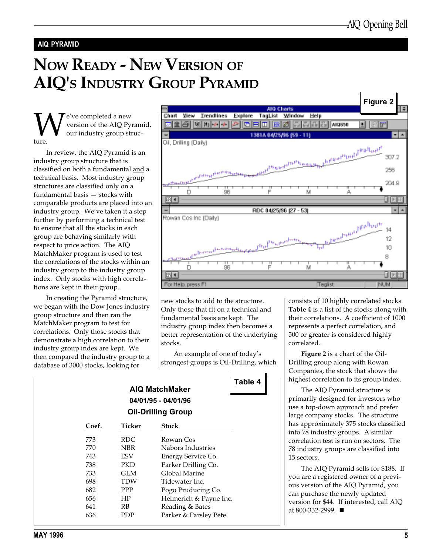#### AIQ PYRAMID

# NOW READY - NEW VERSION OF AIQ'S INDUSTRY GROUP PYRAMID

We've completed a new<br>version of the AIQ Py<br>our industry group st<br>ture. version of the AIQ Pyramid, our industry group structure.

In review, the AIQ Pyramid is an industry group structure that is classified on both a fundamental and a technical basis. Most industry group structures are classified only on a fundamental basis  $-$  stocks with comparable products are placed into an industry group. We've taken it a step further by performing a technical test to ensure that all the stocks in each group are behaving similarly with respect to price action. The AIQ MatchMaker program is used to test the correlations of the stocks within an industry group to the industry group index. Only stocks with high correlations are kept in their group.

In creating the Pyramid structure, we began with the Dow Jones industry group structure and then ran the MatchMaker program to test for correlations. Only those stocks that demonstrate a high correlation to their industry group index are kept. We then compared the industry group to a database of 3000 stocks, looking for



new stocks to add to the structure. Only those that fit on a technical and fundamental basis are kept. The industry group index then becomes a better representation of the underlying stocks.

An example of one of today's strongest groups is Oil-Drilling, which

Table 4

consists of 10 highly correlated stocks. Table 4 is a list of the stocks along with their correlations. A coefficient of 1000 represents a perfect correlation, and 500 or greater is considered highly correlated.

Figure 2 is a chart of the Oil-Drilling group along with Rowan Companies, the stock that shows the highest correlation to its group index.

The AIQ Pyramid structure is primarily designed for investors who use a top-down approach and prefer large company stocks. The structure has approximately 375 stocks classified into 78 industry groups. A similar correlation test is run on sectors. The 78 industry groups are classified into 15 sectors.

The AIQ Pyramid sells for \$188. If you are a registered owner of a previous version of the AIQ Pyramid, you can purchase the newly updated version for \$44. If interested, call AIQ at 800-332-2999. ■

| <b>AIQ MatchMaker</b>     |  |
|---------------------------|--|
| 04/01/95 - 04/01/96       |  |
| <b>Oil-Drilling Group</b> |  |

| Coef. | Ticker     | <b>Stock</b>           |
|-------|------------|------------------------|
| 773   | RDC        | Rowan Cos              |
| 770   | NBR        | Nabors Industries      |
| 743   | ESV        | Energy Service Co.     |
| 738   | PKD        | Parker Drilling Co.    |
| 733   | GLM        | Global Marine          |
| 698   | <b>TDW</b> | Tidewater Inc.         |
| 682   | PPP        | Pogo Pruducing Co.     |
| 656   | HP         | Helmerich & Payne Inc. |
| 641   | RB         | Reading & Bates        |
| 636   | PDP        | Parker & Parsley Pete. |
|       |            |                        |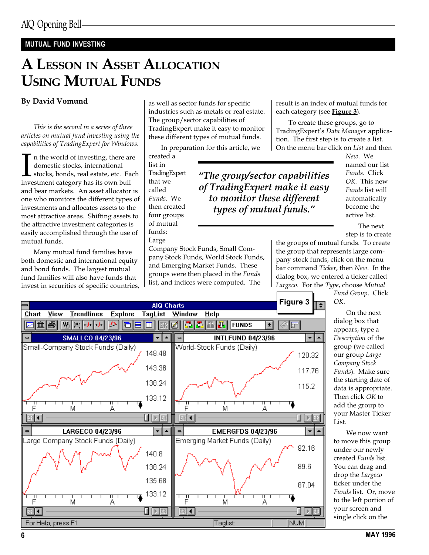### MUTUAL FUND INVESTING

## A LESSON IN ASSET ALLOCATION USING MUTUAL FUNDS

#### By David Vomund

This is the second in a series of three articles on mutual fund investing using the capabilities of TradingExpert for Windows.

In the world of investing, there and omestic stocks, international stocks, bonds, real estate, etc. Easinvestment category has its own bull n the world of investing, there are domestic stocks, international stocks, bonds, real estate, etc. Each and bear markets. An asset allocator is one who monitors the different types of investments and allocates assets to the most attractive areas. Shifting assets to the attractive investment categories is easily accomplished through the use of mutual funds.

Many mutual fund families have both domestic and international equity and bond funds. The largest mutual fund families will also have funds that invest in securities of specific countries,

as well as sector funds for specific industries such as metals or real estate. The group/sector capabilities of TradingExpert make it easy to monitor these different types of mutual funds.

In preparation for this article, we

Company Stock Funds, Small Company Stock Funds, World Stock Funds, and Emerging Market Funds. These groups were then placed in the Funds list, and indices were computed. The

created a list in TradingExpert that we called Funds. We then created four groups of mutual funds: Large

of TradingExpert make it easy to monitor these different types of mutual funds.

result is an index of mutual funds for each category (see Figure 3).

To create these groups, go to TradingExpert's Data Manager application. The first step is to create a list. On the menu bar click on List and then

 $N$ ew. We named our list Funds. Click OK. This new Funds list will automatically become the active list.

The next step is to create

the groups of mutual funds. To create the group that represents large company stock funds, click on the menu bar command Ticker, then New. In the dialog box, we entered a ticker called Largeco. For the Type, choose Mutual

> Fund Group. Click OK.

On the next dialog box that appears, type a Description of the group (we called our group Large Company Stock Funds). Make sure the starting date of data is appropriate. Then click OK to add the group to your Master Ticker List.

We now want to move this group under our newly created Funds list. You can drag and drop the Largeco ticker under the Funds list. Or, move to the left portion of your screen and single click on the



The group/sector capabilities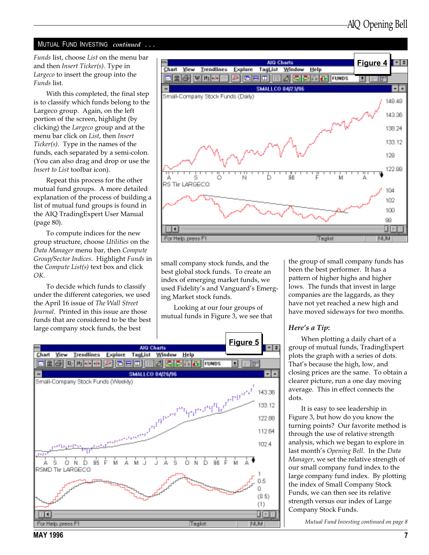#### MUTUAL FUND INVESTING continued ...

Funds list, choose List on the menu bar and then Insert Ticker(s). Type in Largeco to insert the group into the Funds list.

With this completed, the final step is to classify which funds belong to the Largeco group. Again, on the left portion of the screen, highlight (by clicking) the Largeco group and at the menu bar click on List, then Insert Ticker(s). Type in the names of the funds, each separated by a semi-colon. (You can also drag and drop or use the Insert to List toolbar icon).

Repeat this process for the other mutual fund groups. A more detailed explanation of the process of building a list of mutual fund groups is found in the AIQ TradingExpert User Manual (page 80).

To compute indices for the new group structure, choose Utilities on the Data Manager menu bar, then Compute Group/Sector Indices. Highlight Funds in the Compute List(s) text box and click OK.

To decide which funds to classify under the different categories, we used the April 16 issue of The Wall Street Journal. Printed in this issue are those funds that are considered to be the best large company stock funds, the best



small company stock funds, and the best global stock funds. To create an index of emerging market funds, we used Fidelity's and Vanguard's Emerging Market stock funds.

Looking at our four groups of mutual funds in Figure 3, we see that



the group of small company funds has been the best performer. It has a pattern of higher highs and higher lows. The funds that invest in large companies are the laggards, as they have not yet reached a new high and have moved sideways for two months.

#### Here's a Tip:

When plotting a daily chart of a group of mutual funds, TradingExpert plots the graph with a series of dots. That's because the high, low, and closing prices are the same. To obtain a clearer picture, run a one day moving average. This in effect connects the dots.

It is easy to see leadership in Figure 3, but how do you know the turning points? Our favorite method is through the use of relative strength analysis, which we began to explore in last month's Opening Bell. In the Data Manager, we set the relative strength of our small company fund index to the large company fund index. By plotting the index of Small Company Stock Funds, we can then see its relative strength versus our index of Large Company Stock Funds.

Mutual Fund Investing continued on page 8